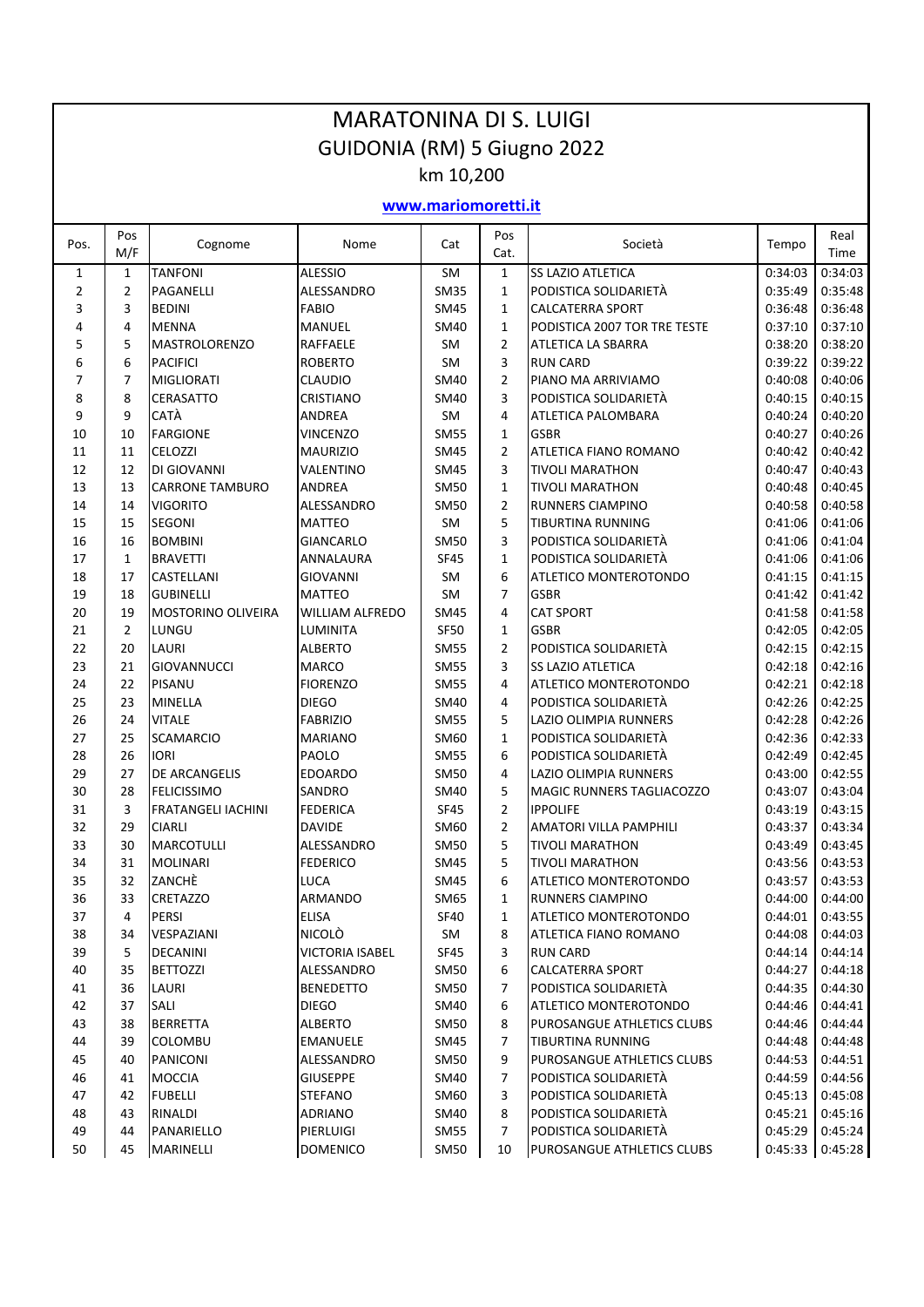|                     |                |                                   | <b>MARATONINA DI S. LUIGI</b>     |              |                |                                                     |                    |                    |  |  |
|---------------------|----------------|-----------------------------------|-----------------------------------|--------------|----------------|-----------------------------------------------------|--------------------|--------------------|--|--|
|                     |                |                                   | GUIDONIA (RM) 5 Giugno 2022       |              |                |                                                     |                    |                    |  |  |
| km 10,200           |                |                                   |                                   |              |                |                                                     |                    |                    |  |  |
| www.mariomoretti.it |                |                                   |                                   |              |                |                                                     |                    |                    |  |  |
|                     |                |                                   |                                   |              |                |                                                     |                    |                    |  |  |
| Pos.                | Pos<br>M/F     | Cognome                           | Nome                              | Cat          | Pos<br>Cat.    | Società                                             | Tempo              | Real<br>Time       |  |  |
| $\mathbf{1}$        | $\mathbf{1}$   | <b>TANFONI</b>                    | <b>ALESSIO</b>                    | <b>SM</b>    | $\mathbf{1}$   | <b>SS LAZIO ATLETICA</b>                            | 0:34:03            | 0:34:03            |  |  |
| 2                   | $\overline{2}$ | PAGANELLI                         | ALESSANDRO                        | <b>SM35</b>  | $\mathbf{1}$   | PODISTICA SOLIDARIETÀ                               | 0:35:49            | 0:35:48            |  |  |
| 3                   | 3              | <b>BEDINI</b>                     | <b>FABIO</b>                      | SM45         | $\mathbf{1}$   | <b>CALCATERRA SPORT</b>                             | 0:36:48            | 0:36:48            |  |  |
| 4                   | 4              | <b>MENNA</b>                      | MANUEL                            | SM40         | $\mathbf{1}$   | PODISTICA 2007 TOR TRE TESTE                        | 0:37:10            | 0:37:10            |  |  |
| 5                   | 5              | <b>MASTROLORENZO</b>              | RAFFAELE                          | SM           | 2              | ATLETICA LA SBARRA                                  | 0:38:20            | 0:38:20            |  |  |
| 6                   | 6              | <b>PACIFICI</b>                   | <b>ROBERTO</b>                    | SM           | 3              | <b>RUN CARD</b>                                     | 0:39:22            | 0:39:22            |  |  |
| $\overline{7}$      | $\overline{7}$ | <b>MIGLIORATI</b>                 | <b>CLAUDIO</b>                    | SM40         | $\overline{2}$ | PIANO MA ARRIVIAMO                                  | 0:40:08            | 0:40:06            |  |  |
| 8                   | 8              | <b>CERASATTO</b>                  | <b>CRISTIANO</b>                  | SM40         | 3              | PODISTICA SOLIDARIETÀ                               | 0:40:15            | 0:40:15            |  |  |
| 9                   | 9              | CATÀ                              | <b>ANDREA</b>                     | SM           | 4              | ATLETICA PALOMBARA                                  | 0:40:24            | 0:40:20            |  |  |
| 10                  | 10             | <b>FARGIONE</b>                   | <b>VINCENZO</b>                   | <b>SM55</b>  | $\mathbf{1}$   | <b>GSBR</b>                                         | 0:40:27            | 0:40:26            |  |  |
| 11                  | 11             | <b>CELOZZI</b>                    | <b>MAURIZIO</b>                   | SM45         | $\overline{2}$ | ATLETICA FIANO ROMANO                               | 0:40:42            | 0:40:42            |  |  |
| 12                  | 12             | DI GIOVANNI                       | VALENTINO                         | SM45         | 3              | <b>TIVOLI MARATHON</b>                              | 0:40:47            | 0:40:43            |  |  |
| 13                  | 13             | <b>CARRONE TAMBURO</b>            | <b>ANDREA</b>                     | <b>SM50</b>  | $\mathbf{1}$   | <b>TIVOLI MARATHON</b>                              | 0:40:48            | 0:40:45            |  |  |
| 14                  | 14             | <b>VIGORITO</b>                   | ALESSANDRO                        | <b>SM50</b>  | 2              | RUNNERS CIAMPINO                                    | 0:40:58            | 0:40:58            |  |  |
| 15                  | 15             | <b>SEGONI</b>                     | <b>MATTEO</b>                     | SM           | 5              | <b>TIBURTINA RUNNING</b>                            | 0:41:06            | 0:41:06            |  |  |
| 16                  | 16             | <b>BOMBINI</b>                    | <b>GIANCARLO</b>                  | <b>SM50</b>  | 3              | PODISTICA SOLIDARIETÀ                               | 0:41:06            | 0:41:04            |  |  |
| 17                  | $\mathbf{1}$   | <b>BRAVETTI</b>                   | ANNALAURA                         | <b>SF45</b>  | $\mathbf{1}$   | PODISTICA SOLIDARIETÀ                               | 0:41:06            | 0:41:06            |  |  |
| 18                  | 17             | CASTELLANI                        | <b>GIOVANNI</b>                   | SM           | 6              | ATLETICO MONTEROTONDO                               | 0:41:15            | 0:41:15            |  |  |
| 19                  | 18             | <b>GUBINELLI</b>                  | <b>MATTEO</b>                     | SM           | $\overline{7}$ | <b>GSBR</b>                                         | 0:41:42            | 0:41:42            |  |  |
| 20                  | 19             | <b>MOSTORINO OLIVEIRA</b>         | <b>WILLIAM ALFREDO</b>            | <b>SM45</b>  | 4              | <b>CAT SPORT</b>                                    | 0:41:58            | 0:41:58            |  |  |
| 21                  | $\overline{2}$ | LUNGU                             | LUMINITA                          | <b>SF50</b>  | 1              | <b>GSBR</b>                                         | 0:42:05            | 0:42:05            |  |  |
| 22                  | 20             | <b>LAURI</b>                      | <b>ALBERTO</b>                    | <b>SM55</b>  | $\overline{2}$ | PODISTICA SOLIDARIETÀ                               | 0:42:15            | 0:42:15            |  |  |
| 23                  | 21             | <b>GIOVANNUCCI</b>                | <b>MARCO</b>                      | <b>SM55</b>  | 3              | <b>SS LAZIO ATLETICA</b>                            | 0:42:18            | 0:42:16            |  |  |
| 24                  | 22             | PISANU                            | <b>FIORENZO</b>                   | SM55         | 4              | ATLETICO MONTEROTONDO                               | 0:42:21            | 0:42:18            |  |  |
| 25                  | 23             | <b>MINELLA</b>                    | <b>DIEGO</b>                      | SM40         | 4              | PODISTICA SOLIDARIETÀ                               | 0:42:26            | 0:42:25            |  |  |
| 26                  | 24             | <b>VITALE</b>                     | <b>FABRIZIO</b>                   | <b>SM55</b>  | 5              | LAZIO OLIMPIA RUNNERS                               | 0:42:28            | 0:42:26            |  |  |
| 27                  | 25             | <b>SCAMARCIO</b>                  | <b>MARIANO</b>                    | SM60         | $\mathbf{1}$   | PODISTICA SOLIDARIETÀ                               | 0:42:36            | 0:42:33            |  |  |
| 28                  | 26             | <b>IORI</b>                       | PAOLO                             | <b>SM55</b>  | 6              | PODISTICA SOLIDARIETÀ                               | 0:42:49            | 0:42:45            |  |  |
| 29                  | 27             | DE ARCANGELIS                     | <b>EDOARDO</b>                    | <b>SM50</b>  | 4              | LAZIO OLIMPIA RUNNERS                               | 0:43:00            | 0:42:55            |  |  |
| 30                  | 28             | <b>FELICISSIMO</b>                | SANDRO                            | SM40         | 5              | <b>MAGIC RUNNERS TAGLIACOZZO</b>                    | 0:43:07            | 0:43:04            |  |  |
| 31                  | 3              | <b>FRATANGELI IACHINI</b>         | <b>FEDERICA</b>                   | <b>SF45</b>  | 2              | <b>IPPOLIFE</b>                                     | 0:43:19            | 0:43:15            |  |  |
| 32                  | 29             | <b>CIARLI</b>                     | <b>DAVIDE</b>                     | SM60         | 2              | AMATORI VILLA PAMPHILI                              | 0:43:37            | 0:43:34            |  |  |
| 33                  | 30             | <b>MARCOTULLI</b>                 | ALESSANDRO                        | SM50         | 5              | <b>TIVOLI MARATHON</b>                              | 0:43:49            | 0:43:45            |  |  |
| 34                  | 31             | <b>MOLINARI</b>                   | <b>FEDERICO</b>                   | SM45         | 5              | <b>TIVOLI MARATHON</b>                              | 0:43:56            | 0:43:53            |  |  |
| 35                  | 32             | ZANCHÈ                            | LUCA                              | SM45         | 6              | ATLETICO MONTEROTONDO                               | 0:43:57            | 0:43:53            |  |  |
| 36                  | 33             | CRETAZZO                          | ARMANDO                           | SM65         | $\mathbf{1}$   | <b>RUNNERS CIAMPINO</b>                             | 0:44:00            | 0:44:00            |  |  |
| 37                  | 4              | PERSI                             | ELISA                             | <b>SF40</b>  | $\mathbf{1}$   | <b>ATLETICO MONTEROTONDO</b>                        | 0:44:01            | 0:43:55            |  |  |
| 38                  | 34             | VESPAZIANI                        | <b>NICOLÒ</b>                     | SM           | 8              | <b>ATLETICA FIANO ROMANO</b>                        | 0:44:08            | 0:44:03            |  |  |
| 39                  | 5              | DECANINI                          | <b>VICTORIA ISABEL</b>            | SF45         | 3              | <b>RUN CARD</b>                                     | 0:44:14            | 0:44:14            |  |  |
| 40                  | 35             | <b>BETTOZZI</b>                   | ALESSANDRO                        | SM50         | 6              | <b>CALCATERRA SPORT</b>                             | 0:44:27            | 0:44:18            |  |  |
| 41                  | 36             | LAURI                             | <b>BENEDETTO</b>                  | SM50         | 7              | PODISTICA SOLIDARIETÀ                               | 0:44:35            | 0:44:30            |  |  |
| 42                  | 37             | SALI                              | <b>DIEGO</b>                      | SM40         | 6              | ATLETICO MONTEROTONDO                               | 0:44:46            | 0:44:41            |  |  |
| 43<br>44            | 38<br>39       | <b>BERRETTA</b><br><b>COLOMBU</b> | <b>ALBERTO</b><br><b>EMANUELE</b> | SM50<br>SM45 | 8<br>7         | PUROSANGUE ATHLETICS CLUBS<br>TIBURTINA RUNNING     | 0:44:46<br>0:44:48 | 0:44:44<br>0:44:48 |  |  |
|                     |                |                                   |                                   |              |                |                                                     |                    |                    |  |  |
| 45<br>46            | 40             | PANICONI<br><b>MOCCIA</b>         | ALESSANDRO<br><b>GIUSEPPE</b>     | SM50<br>SM40 | 9<br>7         | PUROSANGUE ATHLETICS CLUBS<br>PODISTICA SOLIDARIETÀ | 0:44:53<br>0:44:59 | 0:44:51<br>0:44:56 |  |  |
| 47                  | 41<br>42       | <b>FUBELLI</b>                    | STEFANO                           | SM60         | 3              | PODISTICA SOLIDARIETÀ                               | 0:45:13            | 0:45:08            |  |  |
| 48                  | 43             | RINALDI                           | <b>ADRIANO</b>                    | SM40         | 8              | PODISTICA SOLIDARIETÀ                               | 0:45:21            | 0:45:16            |  |  |
| 49                  | 44             | PANARIELLO                        | PIERLUIGI                         | <b>SM55</b>  | 7              | PODISTICA SOLIDARIETÀ                               | 0:45:29            | 0:45:24            |  |  |
| 50                  | 45             | MARINELLI                         | <b>DOMENICO</b>                   | <b>SM50</b>  | 10             | PUROSANGUE ATHLETICS CLUBS                          | 0:45:33            | 0:45:28            |  |  |
|                     |                |                                   |                                   |              |                |                                                     |                    |                    |  |  |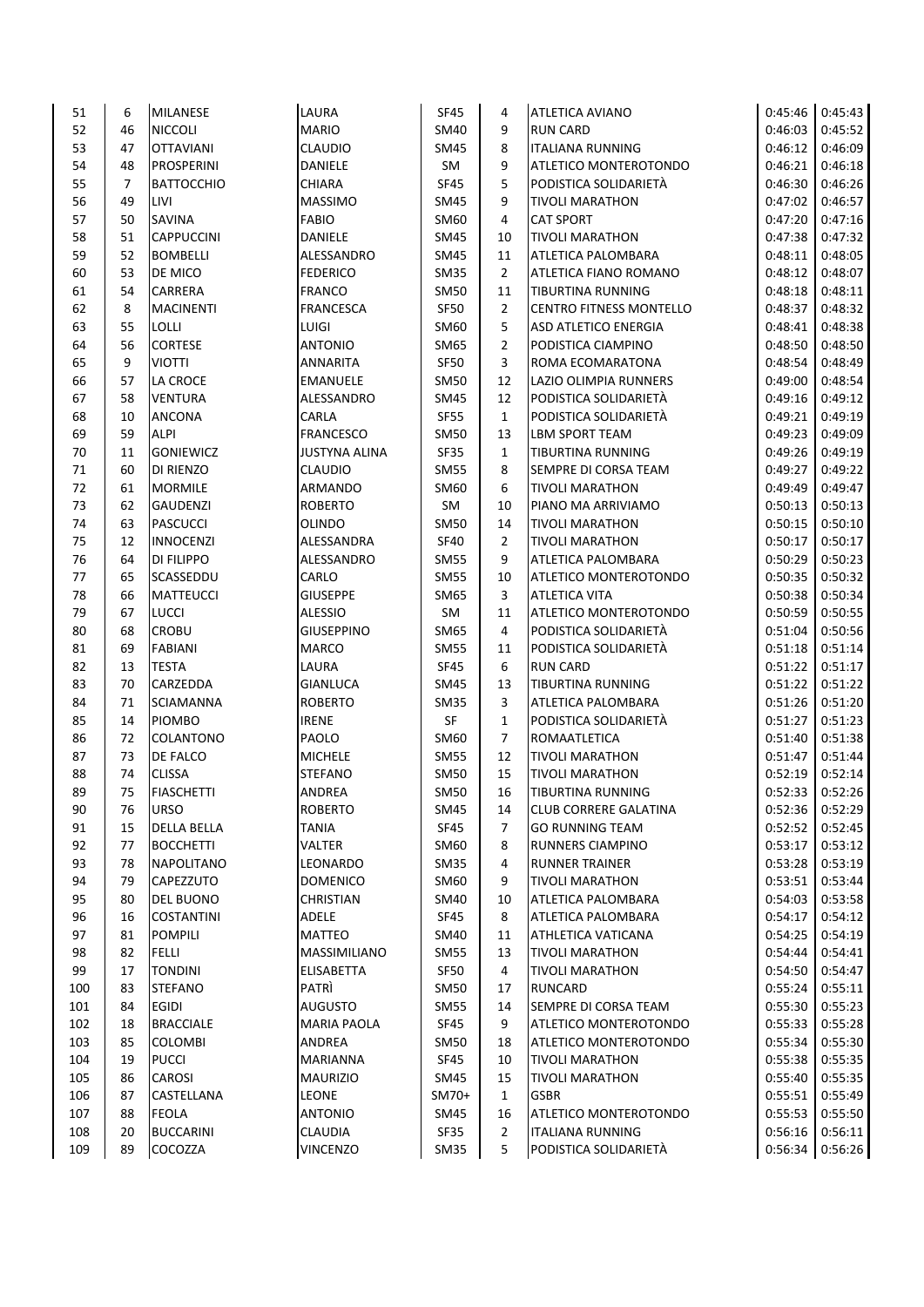| 51  | 6  | <b>MILANESE</b>    | LAURA                | <b>SF45</b> | 4              | ATLETICA AVIANO                | 0:45:46 | 0:45:43 |
|-----|----|--------------------|----------------------|-------------|----------------|--------------------------------|---------|---------|
| 52  | 46 | <b>NICCOLI</b>     | <b>MARIO</b>         | SM40        | 9              | <b>RUN CARD</b>                | 0:46:03 | 0:45:52 |
| 53  | 47 | <b>OTTAVIANI</b>   | <b>CLAUDIO</b>       | SM45        | 8              | <b>ITALIANA RUNNING</b>        | 0:46:12 | 0:46:09 |
| 54  | 48 | <b>PROSPERINI</b>  | DANIELE              | SM          | 9              | ATLETICO MONTEROTONDO          | 0:46:21 | 0:46:18 |
| 55  | 7  | <b>BATTOCCHIO</b>  | <b>CHIARA</b>        | <b>SF45</b> | 5              | PODISTICA SOLIDARIETÀ          | 0:46:30 | 0:46:26 |
| 56  | 49 | LIVI               | <b>MASSIMO</b>       | <b>SM45</b> | 9              | <b>TIVOLI MARATHON</b>         | 0:47:02 | 0:46:57 |
| 57  | 50 | <b>SAVINA</b>      | <b>FABIO</b>         | SM60        | 4              | <b>CAT SPORT</b>               | 0:47:20 | 0:47:16 |
| 58  | 51 | <b>CAPPUCCINI</b>  | DANIELE              | SM45        | 10             | <b>TIVOLI MARATHON</b>         | 0:47:38 | 0:47:32 |
| 59  | 52 | <b>BOMBELLI</b>    | ALESSANDRO           | <b>SM45</b> | 11             | ATLETICA PALOMBARA             | 0:48:11 | 0:48:05 |
| 60  | 53 | DE MICO            | <b>FEDERICO</b>      | <b>SM35</b> | $\overline{2}$ | ATLETICA FIANO ROMANO          | 0:48:12 | 0:48:07 |
| 61  | 54 | <b>CARRERA</b>     | <b>FRANCO</b>        | <b>SM50</b> | 11             | TIBURTINA RUNNING              | 0:48:18 | 0:48:11 |
| 62  | 8  | <b>MACINENTI</b>   | <b>FRANCESCA</b>     | SF50        | $\overline{2}$ | <b>CENTRO FITNESS MONTELLO</b> | 0:48:37 | 0:48:32 |
| 63  | 55 | LOLLI              | LUIGI                | SM60        | 5              | <b>ASD ATLETICO ENERGIA</b>    | 0:48:41 | 0:48:38 |
| 64  | 56 | <b>CORTESE</b>     | <b>ANTONIO</b>       | SM65        | $\overline{2}$ | PODISTICA CIAMPINO             | 0:48:50 | 0:48:50 |
| 65  | 9  | <b>VIOTTI</b>      | ANNARITA             | SF50        | 3              | ROMA ECOMARATONA               | 0:48:54 | 0:48:49 |
| 66  | 57 | LA CROCE           | <b>EMANUELE</b>      | <b>SM50</b> | 12             | LAZIO OLIMPIA RUNNERS          | 0:49:00 | 0:48:54 |
| 67  | 58 | <b>VENTURA</b>     | ALESSANDRO           | SM45        | 12             | PODISTICA SOLIDARIETÀ          | 0:49:16 | 0:49:12 |
| 68  | 10 | <b>ANCONA</b>      | CARLA                | SF55        | $\mathbf{1}$   | PODISTICA SOLIDARIETÀ          | 0:49:21 | 0:49:19 |
| 69  | 59 | <b>ALPI</b>        | <b>FRANCESCO</b>     | <b>SM50</b> | 13             | LBM SPORT TEAM                 | 0:49:23 | 0:49:09 |
| 70  | 11 | <b>GONIEWICZ</b>   | <b>JUSTYNA ALINA</b> | SF35        | $\mathbf{1}$   | TIBURTINA RUNNING              | 0:49:26 | 0:49:19 |
| 71  | 60 | DI RIENZO          | <b>CLAUDIO</b>       | <b>SM55</b> | 8              | SEMPRE DI CORSA TEAM           | 0:49:27 | 0:49:22 |
| 72  | 61 | <b>MORMILE</b>     | ARMANDO              | SM60        | 6              | <b>TIVOLI MARATHON</b>         | 0:49:49 | 0:49:47 |
| 73  | 62 | <b>GAUDENZI</b>    | <b>ROBERTO</b>       | SM          | 10             | PIANO MA ARRIVIAMO             | 0:50:13 | 0:50:13 |
| 74  | 63 | <b>PASCUCCI</b>    | <b>OLINDO</b>        | <b>SM50</b> | 14             | <b>TIVOLI MARATHON</b>         | 0:50:15 | 0:50:10 |
| 75  | 12 | <b>INNOCENZI</b>   | ALESSANDRA           | <b>SF40</b> | $\overline{2}$ | <b>TIVOLI MARATHON</b>         | 0:50:17 | 0:50:17 |
| 76  | 64 | <b>DI FILIPPO</b>  | ALESSANDRO           | <b>SM55</b> | 9              | ATLETICA PALOMBARA             | 0:50:29 | 0:50:23 |
| 77  | 65 | SCASSEDDU          | CARLO                | <b>SM55</b> | 10             | ATLETICO MONTEROTONDO          | 0:50:35 | 0:50:32 |
| 78  | 66 | <b>MATTEUCCI</b>   | <b>GIUSEPPE</b>      | SM65        | 3              | ATLETICA VITA                  | 0:50:38 | 0:50:34 |
| 79  | 67 | <b>LUCCI</b>       | <b>ALESSIO</b>       | SM          | 11             | ATLETICO MONTEROTONDO          | 0:50:59 | 0:50:55 |
| 80  | 68 | <b>CROBU</b>       | <b>GIUSEPPINO</b>    | SM65        | 4              | PODISTICA SOLIDARIETÀ          | 0:51:04 | 0:50:56 |
| 81  | 69 | <b>FABIANI</b>     | <b>MARCO</b>         | <b>SM55</b> | 11             | PODISTICA SOLIDARIETÀ          | 0:51:18 | 0:51:14 |
| 82  | 13 | <b>TESTA</b>       | <b>LAURA</b>         | SF45        | 6              | <b>RUN CARD</b>                | 0:51:22 | 0:51:17 |
| 83  | 70 | CARZEDDA           | <b>GIANLUCA</b>      | <b>SM45</b> | 13             | TIBURTINA RUNNING              | 0:51:22 | 0:51:22 |
| 84  | 71 | <b>SCIAMANNA</b>   | <b>ROBERTO</b>       | SM35        | 3              | ATLETICA PALOMBARA             | 0:51:26 | 0:51:20 |
| 85  | 14 | <b>PIOMBO</b>      | <b>IRENE</b>         | SF          | $\mathbf{1}$   | PODISTICA SOLIDARIETÀ          | 0:51:27 | 0:51:23 |
| 86  | 72 | COLANTONO          | PAOLO                | SM60        | $\overline{7}$ | ROMAATLETICA                   | 0:51:40 | 0:51:38 |
| 87  | 73 | DE FALCO           | <b>MICHELE</b>       | <b>SM55</b> | 12             | <b>TIVOLI MARATHON</b>         | 0:51:47 | 0:51:44 |
| 88  | 74 | <b>CLISSA</b>      | <b>STEFANO</b>       | SM50        | 15             | <b>TIVOLI MARATHON</b>         | 0:52:19 | 0:52:14 |
| 89  | 75 | <b>FIASCHETTI</b>  | <b>ANDREA</b>        | <b>SM50</b> | 16             | TIBURTINA RUNNING              | 0:52:33 | 0:52:26 |
| 90  | 76 | <b>URSO</b>        | <b>ROBERTO</b>       | SM45        | 14             | <b>CLUB CORRERE GALATINA</b>   | 0:52:36 | 0:52:29 |
| 91  | 15 | <b>DELLA BELLA</b> | <b>TANIA</b>         | SF45        | 7              | <b>GO RUNNING TEAM</b>         | 0:52:52 | 0:52:45 |
| 92  | 77 | <b>BOCCHETTI</b>   | <b>VALTER</b>        | SM60        | 8              | RUNNERS CIAMPINO               | 0:53:17 | 0:53:12 |
| 93  | 78 | <b>NAPOLITANO</b>  | <b>LEONARDO</b>      | <b>SM35</b> | 4              | <b>RUNNER TRAINER</b>          | 0:53:28 | 0:53:19 |
| 94  | 79 | CAPEZZUTO          | <b>DOMENICO</b>      | <b>SM60</b> | 9              | <b>TIVOLI MARATHON</b>         | 0:53:51 | 0:53:44 |
| 95  | 80 | <b>DEL BUONO</b>   | <b>CHRISTIAN</b>     | SM40        | 10             | ATLETICA PALOMBARA             | 0:54:03 | 0:53:58 |
| 96  | 16 | <b>COSTANTINI</b>  | ADELE                | SF45        | 8              | ATLETICA PALOMBARA             | 0:54:17 | 0:54:12 |
| 97  | 81 | <b>POMPILI</b>     | <b>MATTEO</b>        | SM40        | 11             | ATHLETICA VATICANA             | 0:54:25 | 0:54:19 |
| 98  | 82 | FELLI              | MASSIMILIANO         | SM55        | 13             | <b>TIVOLI MARATHON</b>         | 0:54:44 | 0:54:41 |
| 99  | 17 | <b>TONDINI</b>     | <b>ELISABETTA</b>    | SF50        | 4              | <b>TIVOLI MARATHON</b>         | 0:54:50 | 0:54:47 |
| 100 | 83 | <b>STEFANO</b>     | <b>PATRI</b>         | <b>SM50</b> | 17             | <b>RUNCARD</b>                 | 0:55:24 | 0:55:11 |
| 101 | 84 | <b>EGIDI</b>       | AUGUSTO              | <b>SM55</b> | 14             | SEMPRE DI CORSA TEAM           | 0:55:30 | 0:55:23 |
| 102 | 18 | <b>BRACCIALE</b>   | MARIA PAOLA          | SF45        | 9              | ATLETICO MONTEROTONDO          | 0:55:33 | 0:55:28 |
| 103 | 85 | <b>COLOMBI</b>     | ANDREA               | <b>SM50</b> | 18             | ATLETICO MONTEROTONDO          | 0:55:34 | 0:55:30 |
| 104 | 19 | <b>PUCCI</b>       | <b>MARIANNA</b>      | SF45        | 10             | <b>TIVOLI MARATHON</b>         | 0:55:38 | 0:55:35 |
| 105 | 86 | CAROSI             | <b>MAURIZIO</b>      | SM45        | 15             | TIVOLI MARATHON                | 0:55:40 | 0:55:35 |
| 106 | 87 | CASTELLANA         | LEONE                | SM70+       | 1              | <b>GSBR</b>                    | 0:55:51 | 0:55:49 |
| 107 | 88 | <b>FEOLA</b>       | <b>ANTONIO</b>       | <b>SM45</b> | 16             | ATLETICO MONTEROTONDO          | 0:55:53 | 0:55:50 |
| 108 | 20 | <b>BUCCARINI</b>   | <b>CLAUDIA</b>       | SF35        | $\overline{2}$ | <b>ITALIANA RUNNING</b>        | 0:56:16 | 0:56:11 |
| 109 | 89 | COCOZZA            | VINCENZO             | SM35        | 5              | PODISTICA SOLIDARIETÀ          | 0:56:34 | 0:56:26 |